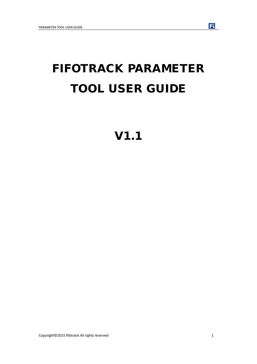# FIFOTRACK PARAMETER TOOL USER GUIDE

V1.1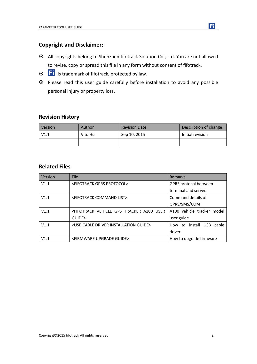# **Copyright and Disclaimer:**

- All copyrights belong to Shenzhen fifotrack Solution Co., Ltd. You are not allowed to revise, copy or spread this file in any form without consent of fifotrack.
- $\odot$   $\Box$  is trademark of fifotrack, protected by law.
- Please read this user guide carefully before installation to avoid any possible personal injury or property loss.

## **Revision History**

| Version | Author  | <b>Revision Date</b> | Description of change |
|---------|---------|----------------------|-----------------------|
| V1.1    | Vito Hu | Sep 10, 2015         | Initial revision      |
|         |         |                      |                       |

## **Related Files**

| Version | File                                                                                                           | <b>Remarks</b>             |
|---------|----------------------------------------------------------------------------------------------------------------|----------------------------|
| V1.1    | <fifotrack gprs="" protocol=""></fifotrack>                                                                    | GPRS protocol between      |
|         |                                                                                                                | terminal and server.       |
| V1.1    | <fifotrack command="" list=""></fifotrack>                                                                     | Command details of         |
|         |                                                                                                                | GPRS/SMS/COM               |
| V1.1    | <fifotrack a100="" gps="" td="" tracker="" user<="" vehicle=""><td>A100 vehicle tracker model</td></fifotrack> | A100 vehicle tracker model |
|         | GUIDE>                                                                                                         | user guide                 |
| V1.1    | <usb cable="" driver="" guide="" installation=""></usb>                                                        | How to install USB cable   |
|         |                                                                                                                | driver                     |
| V1.1    | <firmware guide="" upgrade=""></firmware>                                                                      | How to upgrade firmware    |

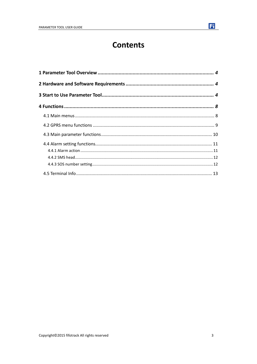# **Contents**

Fi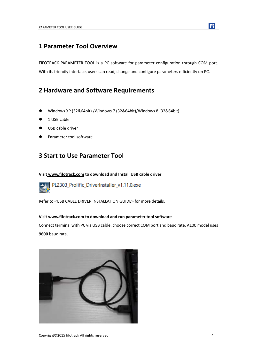# <span id="page-3-0"></span>**1 Parameter Tool Overview**

FIFOTRACK PARAMETER TOOL is a PC software for parameter configuration through COM port. With its friendly interface, users can read, change and configure parameters efficiently on PC.

# <span id="page-3-1"></span>**2 Hardware and Software Requirements**

- Windows XP (32&64bit) /Windows 7 (32&64bit)/Windows 8 (32&64bit)
- 1 USB cable
- USB cable driver
- <span id="page-3-2"></span>Parameter tool software

# **3 Start to Use Parameter Tool**

#### **Visit [www.fifotrack.com](http://www.fifotrack.com/) to download and Install USB cable driver**



PL2303\_Prolific\_DriverInstaller\_v1.11.0.exe

Refer to <USB CABLE DRIVER INSTALLATION GUIDE> for more details.

#### **Visi[t www.fifotrack.com](http://www.fifotrack.com/) to download and run parameter tool software**

Connect terminal with PC via USB cable, choose correct COM port and baud rate. A100 model uses **9600** baud rate.



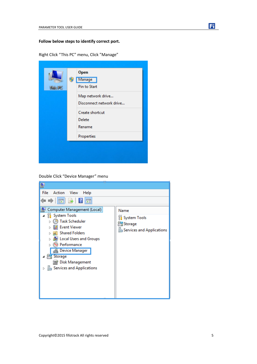#### **Follow below steps to identify correct port.**

Right Click "This PC" menu, Click "Manage"

|  | <b>This PC</b> |  | Open<br>Manage<br>Pin to Start<br>Map network drive<br>Disconnect network drive<br>Create shortcut<br>Delete<br>Rename<br>Properties |
|--|----------------|--|--------------------------------------------------------------------------------------------------------------------------------------|
|--|----------------|--|--------------------------------------------------------------------------------------------------------------------------------------|

Double Click "Device Manager" menu

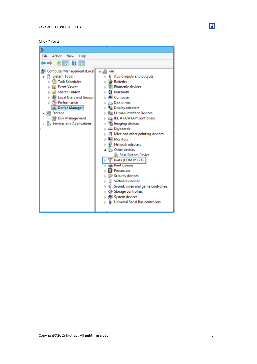Click "Ports"

| 喦                                          |                                         |
|--------------------------------------------|-----------------------------------------|
| File<br>Action<br>View<br>Help             |                                         |
| $\overline{\mathbf{u}}$<br>面               |                                         |
| Computer Management (Local                 | ⊿ ⊯∭⊾kan                                |
| System Tools                               | Audio inputs and outputs                |
| <b>Task Scheduler</b>                      | <b>Batteries</b>                        |
| <b>Event Viewer</b>                        | <b>Biometric devices</b>                |
| <b>Shared Folders</b>                      | Bluetooth                               |
| Local Users and Groups                     | Computer                                |
| (N) Performance                            | Disk drives                             |
| <b>Device Manager</b>                      | Display adapters                        |
| ⊿ Storage                                  | 『霊 Human Interface Devices              |
| Disk Management                            | IDE ATA/ATAPI controllers               |
| <b>Res</b> Services and Applications<br>D. | inaging devices                         |
|                                            | Exploards                               |
|                                            | M Mice and other pointing devices       |
|                                            | <b>Monitors</b>                         |
|                                            | Network adapters                        |
|                                            | <b>B</b> <sub>0</sub> Other devices     |
|                                            | <b>Base System Device</b>               |
|                                            | Ports (COM & LPT)                       |
|                                            | <b>Print queues</b>                     |
|                                            | Processors                              |
|                                            | <b>Security devices</b>                 |
|                                            | Software devices                        |
|                                            | Sound, video and game controllers       |
|                                            | Storage controllers                     |
|                                            | ■ System devices                        |
|                                            | <b>Universal Serial Bus controllers</b> |
|                                            |                                         |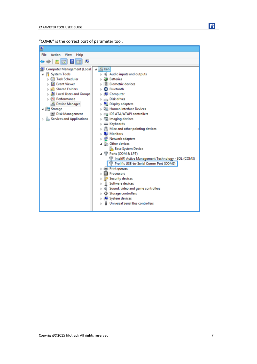| "COM6" is the correct port of parameter tool. |  |  |  |
|-----------------------------------------------|--|--|--|
|-----------------------------------------------|--|--|--|



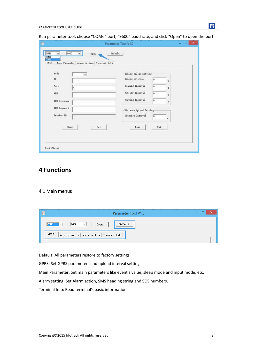Run parameter tool, choose "COM6" port, "9600" baud rate, and click "Open" to open the port.

| Mode           | Timing Upload Setting       |
|----------------|-----------------------------|
| 츼<br><b>TP</b> | Tining Interval<br>ю<br>×   |
| Port<br>h      | Rosning Interval<br>b<br>s  |
| APN            | ACC OFF Interval<br>ю<br>×  |
| APN Username   | Parking Interval<br>b<br>¥. |
| APN Password   | Distance Upload Setting     |
| Tracker ID     | Distance Interval<br>ю<br>٠ |
| Read           | Read<br>Set<br>Set          |

# <span id="page-7-0"></span>**4 Functions**

#### <span id="page-7-1"></span>4.1 Main menus

| F.<br>Parameter Tool V1.0                                               | _____ |
|-------------------------------------------------------------------------|-------|
| <br>Default<br>19600<br><b>COM6</b><br>$\overline{\phantom{a}}$<br>Open |       |
| GPRS<br>Main Parameter   Alarm Setting   Terminal Info                  |       |

Default: All parameters restore to factory settings.

GPRS: Set GPRS parameters and upload interval settings.

Main Parameter: Set main parameters like event's value, sleep mode and input mode, etc.

Alarm setting: Set Alarm action, SMS heading string and SOS numbers.

Terminal Info: Read terminal's basic information.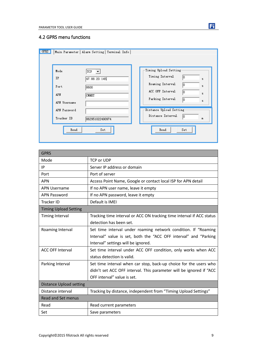## <span id="page-8-0"></span>4.2 GPRS menu functions

| GPRS<br>Mode<br>IP<br>Port<br>APN<br>APN Username<br>APN Password | Main Parameter   Alarm Setting   Terminal Info  <br>TCP  <br>47.88.20.145<br>8600<br>CMNET | Timing Upload Setting-<br>Timing Interval<br>lo.<br>s.<br>Roaming Interval<br>lo.<br>s<br>ACC OFF Interval<br>lo.<br>5<br>Parking Interval<br>lo.<br>s<br>Distance Upload Setting- |
|-------------------------------------------------------------------|--------------------------------------------------------------------------------------------|------------------------------------------------------------------------------------------------------------------------------------------------------------------------------------|
| Tracker ID                                                        | 862951022490974                                                                            | Distance Interval<br>lo.<br>m                                                                                                                                                      |
| Read                                                              | Set                                                                                        | Read<br>Set                                                                                                                                                                        |

| <b>GPRS</b>                    |                                                                       |
|--------------------------------|-----------------------------------------------------------------------|
| Mode                           | <b>TCP or UDP</b>                                                     |
| IP                             | Server IP address or domain                                           |
| Port                           | Port of server                                                        |
| <b>APN</b>                     | Access Point Name, Google or contact local ISP for APN detail         |
| <b>APN Username</b>            | If no APN user name, leave it empty                                   |
| <b>APN Password</b>            | If no APN password, leave it empty                                    |
| Tracker ID                     | Default is IMEI                                                       |
| <b>Timing Upload Setting</b>   |                                                                       |
| <b>Timing Interval</b>         | Tracking time interval or ACC ON tracking time interval if ACC status |
|                                | detection has been set.                                               |
| Roaming Interval               | Set time interval under roaming network condition. If "Roaming        |
|                                | Interval" value is set, both the "ACC OFF interval" and "Parking      |
|                                | Interval" settings will be ignored.                                   |
| <b>ACC OFF Interval</b>        | Set time interval under ACC OFF condition, only works when ACC        |
|                                | status detection is valid.                                            |
| Parking Interval               | Set time interval when car stop, back-up choice for the users who     |
|                                | didn't set ACC OFF interval. This parameter will be ignored if "ACC   |
|                                | OFF interval" value is set.                                           |
| <b>Distance Upload setting</b> |                                                                       |
| Distance interval              | Tracking by distance, independent from "Timing Upload Settings"       |
| <b>Read and Set menus</b>      |                                                                       |
| Read                           | Read current parameters                                               |
| Set                            | Save parameters                                                       |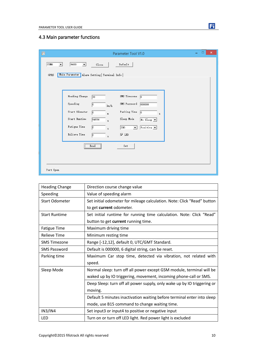

# <span id="page-9-0"></span>4.3 Main parameter functions

| $\blacksquare$  | Parameter Tool V1.0                                                                                        | ×<br>▭ |
|-----------------|------------------------------------------------------------------------------------------------------------|--------|
| coms<br>$\vert$ | 9600<br>Default<br>$\mathbf{r}$<br>Close                                                                   |        |
| GPRS            | Main Parameter   Alarm Setting   Terminal Info                                                             |        |
|                 |                                                                                                            |        |
|                 | Heading Change<br>SMS Timezone<br>$\overline{30}$<br>$\sqrt{0}$                                            |        |
|                 | Speeding<br>SMS Password<br>000000<br>10<br>km/h                                                           |        |
|                 | Start Odometer<br>Parking Time<br>p<br>$\sqrt{0}$<br>$\mathbf{m}$<br>s                                     |        |
|                 | Start Runtime<br>Sleep Mode<br>94836<br>$N_0$ Sleep $\boxed{\mathbf{v}}$<br>5                              |        |
|                 | Fatigue Time<br>Positive $\boxed{\bullet}$<br>$\sqrt{0}$<br>IN3<br>$\mathbf{v}$<br>$\overline{\mathbf{z}}$ |        |
|                 | Relieve Time<br>$\nabla$ LED<br>p<br>s                                                                     |        |
|                 | $\overline{\qquad \qquad \qquad \text{Read}}$<br>Set<br>                                                   |        |
|                 |                                                                                                            |        |
|                 |                                                                                                            |        |
| Port Open       |                                                                                                            |        |

| <b>Heading Change</b> | Direction course change value                                           |
|-----------------------|-------------------------------------------------------------------------|
| Speeding              | Value of speeding alarm                                                 |
| <b>Start Odometer</b> | Set initial odometer for mileage calculation. Note: Click "Read" button |
|                       | to get current odometer.                                                |
| <b>Start Runtime</b>  | Set initial runtime for running time calculation. Note: Click "Read"    |
|                       | button to get current running time.                                     |
| <b>Fatigue Time</b>   | Maximum driving time                                                    |
| <b>Relieve Time</b>   | Minimum resting time                                                    |
| <b>SMS Timezone</b>   | Range [-12,12], default 0, UTC/GMT Standard.                            |
| <b>SMS Password</b>   | Default is 000000, 6 digital string, can be reset.                      |
| Parking time          | Maximum Car stop time, detected via vibration, not related with         |
|                       | speed.                                                                  |
| Sleep Mode            | Normal sleep: turn off all power except GSM module, terminal will be    |
|                       | waked up by IO triggering, movement, incoming phone-call or SMS.        |
|                       | Deep Sleep: turn off all power supply, only wake up by IO triggering or |
|                       | moving.                                                                 |
|                       | Default 5 minutes inactivation waiting before terminal enter into sleep |
|                       | mode, use B15 command to change waiting time.                           |
| IN3/IN4               | Set input3 or input4 to positive or negative input                      |
| <b>LED</b>            | Turn on or turn off LED light. Red power light is excluded              |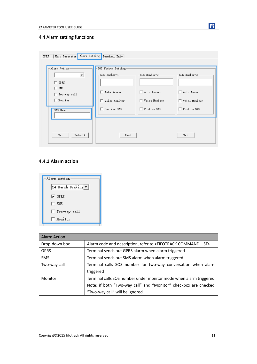

# <span id="page-10-0"></span>4.4 Alarm setting functions

| Main Parameter<br><b>GPRS</b>                                                           | Alarm Setting Terminal Info                                         |                                               |                                              |
|-----------------------------------------------------------------------------------------|---------------------------------------------------------------------|-----------------------------------------------|----------------------------------------------|
| Alarm Action-<br>ᅬ<br>$\Box$ GPRS<br>г.<br>SMS<br>$\Box$ Two-way call<br>$\Box$ Monitor | SOS Number Setting<br>SOS Number-1-<br>Auto Answer<br>Voice Monitor | SOS Number-2:<br>Auto Answer<br>Voice Monitor | SOS Number-3<br>Auto Answer<br>Voice Monitor |
| SMS Head:<br>Default<br>Set                                                             | Postion SMS<br>Read                                                 | Postion SMS                                   | Postion SMS<br>Set                           |

## <span id="page-10-1"></span>**4.4.1 Alarm action**



| <b>Alarm Action</b> |                                                                                 |
|---------------------|---------------------------------------------------------------------------------|
| Drop-down box       | Alarm code and description, refer to <fifotrack command="" list=""></fifotrack> |
| <b>GPRS</b>         | Terminal sends out GPRS alarm when alarm triggered                              |
| <b>SMS</b>          | Terminal sends out SMS alarm when alarm triggered                               |
| Two-way call        | Terminal calls SOS number for two-way conversation when alarm                   |
|                     | triggered                                                                       |
| Monitor             | Terminal calls SOS number under monitor mode when alarm triggered.              |
|                     | Note: if both "Two-way call" and "Monitor" checkbox are checked,                |
|                     | "Two-way call" will be ignored.                                                 |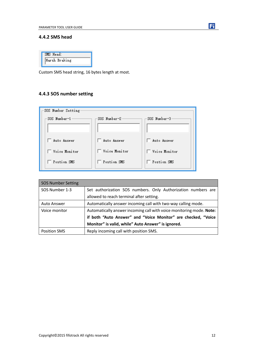

## <span id="page-11-0"></span>**4.4.2 SMS head**

| SMS Head:     |  |
|---------------|--|
| Harsh Braking |  |

Custom SMS head string, 16 bytes length at most.

## <span id="page-11-1"></span>**4.4.3 SOS number setting**

| SOS Number Setting   |                 |               |
|----------------------|-----------------|---------------|
| -SOS Number-1-       | SOS Number-2    | SOS Number-3  |
|                      |                 |               |
| Auto Answer          | Auto Answer     | □ Auto Answer |
| $\top$ Voice Monitor | □ Voice Monitor | Voice Monitor |
| Postion SMS          | Postion SMS     | Postion SMS   |

| <b>SOS Number Setting</b> |                                                                      |
|---------------------------|----------------------------------------------------------------------|
| SOS Number 1-3            | Set authorization SOS numbers. Only Authorization numbers are        |
|                           | allowed to reach terminal after setting.                             |
| <b>Auto Answer</b>        | Automatically answer incoming call with two-way calling mode.        |
| Voice monitor             | Automatically answer incoming call with voice monitoring mode. Note: |
|                           | if both "Auto Answer" and "Voice Monitor" are checked, "Voice        |
|                           | Monitor" is valid, while" Auto Answer" is ignored.                   |
| <b>Position SMS</b>       | Reply incoming call with position SMS.                               |